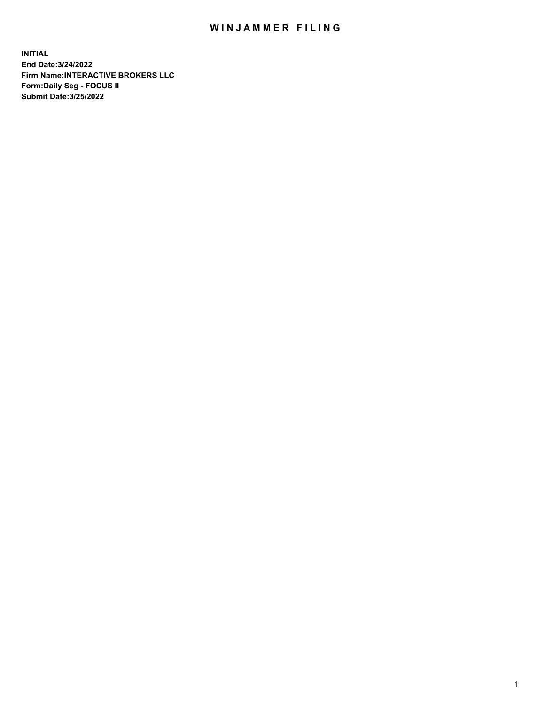## WIN JAMMER FILING

**INITIAL End Date:3/24/2022 Firm Name:INTERACTIVE BROKERS LLC Form:Daily Seg - FOCUS II Submit Date:3/25/2022**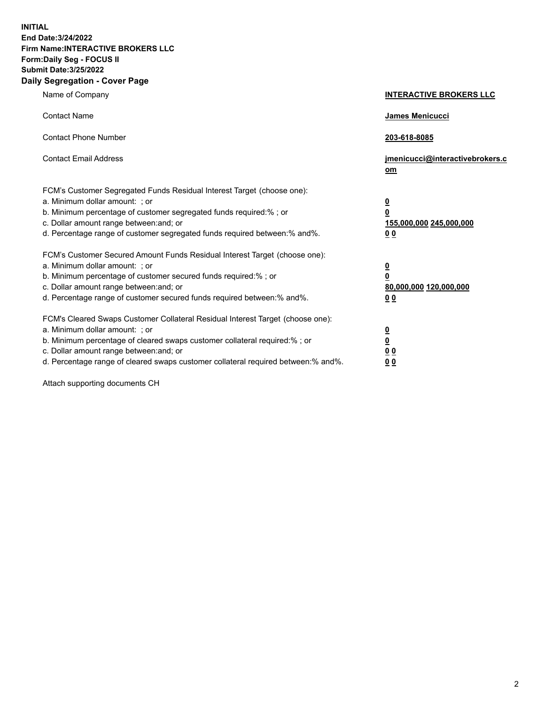**INITIAL End Date:3/24/2022 Firm Name:INTERACTIVE BROKERS LLC Form:Daily Seg - FOCUS II Submit Date:3/25/2022 Daily Segregation - Cover Page**

| Name of Company                                                                                                                                                                                                                                                                                                               | <b>INTERACTIVE BROKERS LLC</b>                                                                  |
|-------------------------------------------------------------------------------------------------------------------------------------------------------------------------------------------------------------------------------------------------------------------------------------------------------------------------------|-------------------------------------------------------------------------------------------------|
| <b>Contact Name</b>                                                                                                                                                                                                                                                                                                           | James Menicucci                                                                                 |
| <b>Contact Phone Number</b>                                                                                                                                                                                                                                                                                                   | 203-618-8085                                                                                    |
| <b>Contact Email Address</b>                                                                                                                                                                                                                                                                                                  | jmenicucci@interactivebrokers.c<br>om                                                           |
| FCM's Customer Segregated Funds Residual Interest Target (choose one):<br>a. Minimum dollar amount: ; or<br>b. Minimum percentage of customer segregated funds required:% ; or<br>c. Dollar amount range between: and; or<br>d. Percentage range of customer segregated funds required between:% and%.                        | $\overline{\mathbf{0}}$<br>$\overline{\mathbf{0}}$<br>155,000,000 245,000,000<br>0 <sub>0</sub> |
| FCM's Customer Secured Amount Funds Residual Interest Target (choose one):<br>a. Minimum dollar amount: ; or<br>b. Minimum percentage of customer secured funds required:% ; or<br>c. Dollar amount range between: and; or<br>d. Percentage range of customer secured funds required between:% and%.                          | <u>0</u><br>$\overline{\mathbf{0}}$<br>80,000,000 120,000,000<br>0 <sub>0</sub>                 |
| FCM's Cleared Swaps Customer Collateral Residual Interest Target (choose one):<br>a. Minimum dollar amount: ; or<br>b. Minimum percentage of cleared swaps customer collateral required:%; or<br>c. Dollar amount range between: and; or<br>d. Percentage range of cleared swaps customer collateral required between:% and%. | $\overline{\mathbf{0}}$<br>$\underline{\mathbf{0}}$<br>$\underline{0}$ $\underline{0}$<br>00    |

Attach supporting documents CH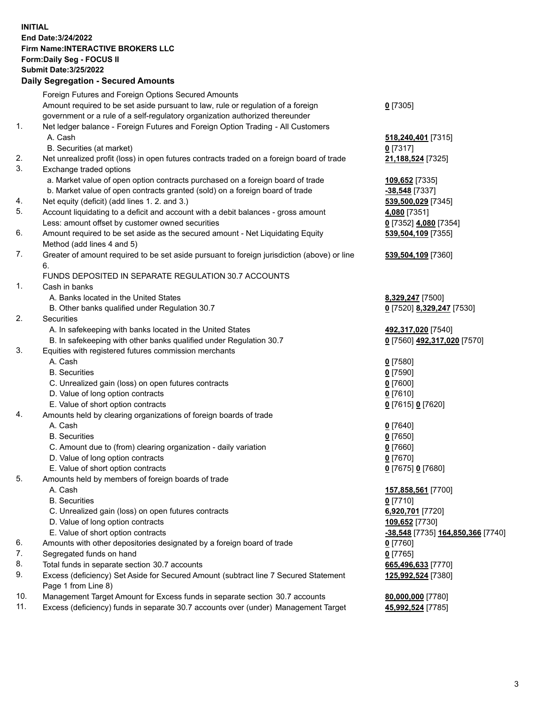**INITIAL End Date:3/24/2022 Firm Name:INTERACTIVE BROKERS LLC Form:Daily Seg - FOCUS II Submit Date:3/25/2022 Daily Segregation - Secured Amounts**

|     | Foreign Futures and Foreign Options Secured Amounts                                         |                                                 |
|-----|---------------------------------------------------------------------------------------------|-------------------------------------------------|
|     | Amount required to be set aside pursuant to law, rule or regulation of a foreign            | $0$ [7305]                                      |
|     | government or a rule of a self-regulatory organization authorized thereunder                |                                                 |
| 1.  | Net ledger balance - Foreign Futures and Foreign Option Trading - All Customers             |                                                 |
|     | A. Cash                                                                                     | 518,240,401 [7315]                              |
|     | B. Securities (at market)                                                                   | $0$ [7317]                                      |
| 2.  | Net unrealized profit (loss) in open futures contracts traded on a foreign board of trade   | 21,188,524 [7325]                               |
| 3.  | Exchange traded options                                                                     |                                                 |
|     | a. Market value of open option contracts purchased on a foreign board of trade              | 109,652 [7335]                                  |
|     | b. Market value of open contracts granted (sold) on a foreign board of trade                | -38,548 [7337]                                  |
| 4.  | Net equity (deficit) (add lines 1. 2. and 3.)                                               | 539,500,029 [7345]                              |
| 5.  | Account liquidating to a deficit and account with a debit balances - gross amount           | 4,080 [7351]                                    |
|     | Less: amount offset by customer owned securities                                            | 0 [7352] 4,080 [7354]                           |
| 6.  | Amount required to be set aside as the secured amount - Net Liquidating Equity              | 539,504,109 [7355]                              |
|     | Method (add lines 4 and 5)                                                                  |                                                 |
| 7.  | Greater of amount required to be set aside pursuant to foreign jurisdiction (above) or line | 539,504,109 [7360]                              |
|     | 6.                                                                                          |                                                 |
|     | FUNDS DEPOSITED IN SEPARATE REGULATION 30.7 ACCOUNTS                                        |                                                 |
| 1.  | Cash in banks                                                                               |                                                 |
|     | A. Banks located in the United States                                                       | 8,329,247 [7500]                                |
|     | B. Other banks qualified under Regulation 30.7                                              | 0 [7520] 8,329,247 [7530]                       |
| 2.  | Securities                                                                                  |                                                 |
|     | A. In safekeeping with banks located in the United States                                   | 492,317,020 [7540]                              |
|     | B. In safekeeping with other banks qualified under Regulation 30.7                          | 0 [7560] 492,317,020 [7570]                     |
| 3.  | Equities with registered futures commission merchants                                       |                                                 |
|     | A. Cash                                                                                     | $0$ [7580]                                      |
|     | <b>B.</b> Securities                                                                        | $0$ [7590]                                      |
|     | C. Unrealized gain (loss) on open futures contracts                                         | $0$ [7600]                                      |
|     | D. Value of long option contracts                                                           | $0$ [7610]                                      |
|     | E. Value of short option contracts                                                          | 0 [7615] 0 [7620]                               |
| 4.  | Amounts held by clearing organizations of foreign boards of trade                           |                                                 |
|     | A. Cash                                                                                     | $Q$ [7640]                                      |
|     | <b>B.</b> Securities                                                                        | $0$ [7650]                                      |
|     | C. Amount due to (from) clearing organization - daily variation                             | $0$ [7660]                                      |
|     | D. Value of long option contracts                                                           | $0$ [7670]                                      |
|     | E. Value of short option contracts                                                          | 0 [7675] 0 [7680]                               |
| 5.  | Amounts held by members of foreign boards of trade                                          |                                                 |
|     | A. Cash                                                                                     | 157,858,561 [7700]                              |
|     | <b>B.</b> Securities                                                                        | $0$ [7710]                                      |
|     | C. Unrealized gain (loss) on open futures contracts                                         | 6,920,701 [7720]                                |
|     | D. Value of long option contracts                                                           | 109,652 [7730]                                  |
|     | E. Value of short option contracts                                                          | <u>-38,548</u> [7735] <u>164,850,366</u> [7740] |
| 6.  | Amounts with other depositories designated by a foreign board of trade                      | $0$ [7760]                                      |
| 7.  | Segregated funds on hand                                                                    | $0$ [7765]                                      |
| 8.  | Total funds in separate section 30.7 accounts                                               | 665,496,633 [7770]                              |
| 9.  | Excess (deficiency) Set Aside for Secured Amount (subtract line 7 Secured Statement         | 125,992,524 [7380]                              |
|     | Page 1 from Line 8)                                                                         |                                                 |
| 10. | Management Target Amount for Excess funds in separate section 30.7 accounts                 | 80,000,000 [7780]                               |
| 11. | Excess (deficiency) funds in separate 30.7 accounts over (under) Management Target          | 45,992,524 [7785]                               |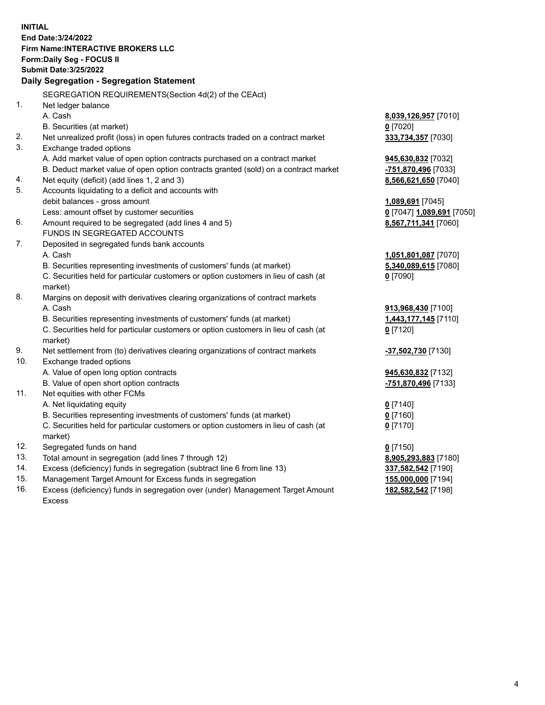**INITIAL End Date:3/24/2022 Firm Name:INTERACTIVE BROKERS LLC Form:Daily Seg - FOCUS II Submit Date:3/25/2022 Daily Segregation - Segregation Statement** SEGREGATION REQUIREMENTS(Section 4d(2) of the CEAct) 1. Net ledger balance A. Cash **8,039,126,957** [7010] B. Securities (at market) **0** [7020] 2. Net unrealized profit (loss) in open futures contracts traded on a contract market **333,734,357** [7030] 3. Exchange traded options A. Add market value of open option contracts purchased on a contract market **945,630,832** [7032] B. Deduct market value of open option contracts granted (sold) on a contract market **-751,870,496** [7033] 4. Net equity (deficit) (add lines 1, 2 and 3) **8,566,621,650** [7040] 5. Accounts liquidating to a deficit and accounts with debit balances - gross amount **1,089,691** [7045] Less: amount offset by customer securities **0** [7047] **1,089,691** [7050] 6. Amount required to be segregated (add lines 4 and 5) **8,567,711,341** [7060] FUNDS IN SEGREGATED ACCOUNTS 7. Deposited in segregated funds bank accounts A. Cash **1,051,801,087** [7070] B. Securities representing investments of customers' funds (at market) **5,340,089,615** [7080] C. Securities held for particular customers or option customers in lieu of cash (at market) **0** [7090] 8. Margins on deposit with derivatives clearing organizations of contract markets A. Cash **913,968,430** [7100] B. Securities representing investments of customers' funds (at market) **1,443,177,145** [7110] C. Securities held for particular customers or option customers in lieu of cash (at market) **0** [7120] 9. Net settlement from (to) derivatives clearing organizations of contract markets **-37,502,730** [7130] 10. Exchange traded options A. Value of open long option contracts **945,630,832** [7132] B. Value of open short option contracts **-751,870,496** [7133] 11. Net equities with other FCMs A. Net liquidating equity **0** [7140] B. Securities representing investments of customers' funds (at market) **0** [7160] C. Securities held for particular customers or option customers in lieu of cash (at market) **0** [7170] 12. Segregated funds on hand **0** [7150] 13. Total amount in segregation (add lines 7 through 12) **8,905,293,883** [7180] 14. Excess (deficiency) funds in segregation (subtract line 6 from line 13) **337,582,542** [7190] 15. Management Target Amount for Excess funds in segregation **155,000,000** [7194] 16. Excess (deficiency) funds in segregation over (under) Management Target Amount Excess **182,582,542** [7198]